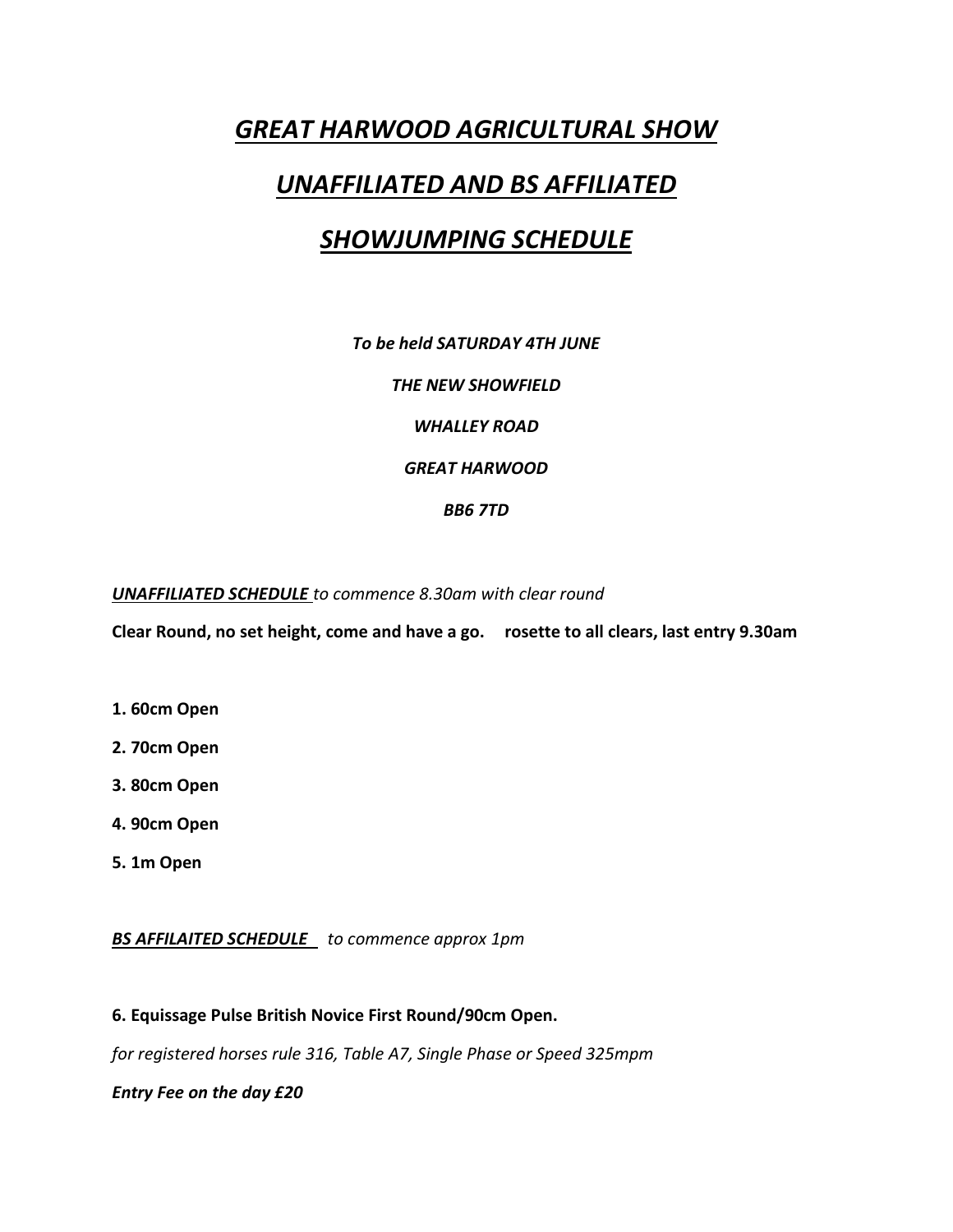## *GREAT HARWOOD AGRICULTURAL SHOW*

## *UNAFFILIATED AND BS AFFILIATED*

## *SHOWJUMPING SCHEDULE*

*To be held SATURDAY 4TH JUNE*

*THE NEW SHOWFIELD*

*WHALLEY ROAD*

*GREAT HARWOOD*

*BB6 7TD*

*UNAFFILIATED SCHEDULE to commence 8.30am with clear round*

**Clear Round, no set height, come and have a go. rosette to all clears, last entry 9.30am**

- **1. 60cm Open**
- **2. 70cm Open**
- **3. 80cm Open**
- **4. 90cm Open**
- **5. 1m Open**

*BS AFFILAITED SCHEDULE to commence approx 1pm*

**6. Equissage Pulse British Novice First Round/90cm Open.**

*for registered horses rule 316, Table A7, Single Phase or Speed 325mpm*

*Entry Fee on the day £20*